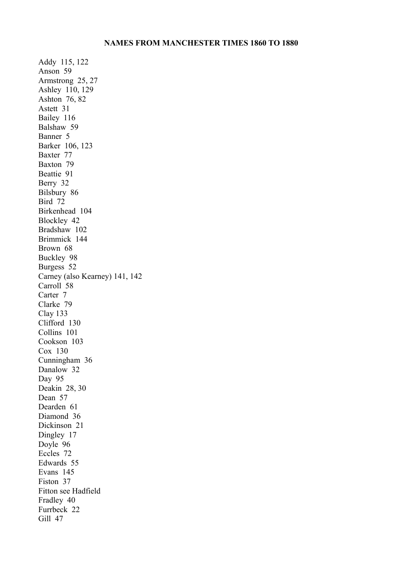Addy 115, 122 Anson 59 Armstrong 25, 27 Ashley 110, 129 Ashton 76, 82 Astett 31 Bailey 116 Balshaw 59 Banner 5 Barker 106, 123 Baxter 77 Baxton 79 Beattie 91 Berry 32 Bilsbury 86 Bird 72 Birkenhead 104 Blockley 42 Bradshaw 102 Brimmick 144 Brown 68 Buckley 98 Burgess 52 Carney (also Kearney) 141, 142 Carroll 58 Carter 7 Clarke 79 Clay 133 Clifford 130 Collins 101 Cookson 103 Cox 130 Cunningham 36 Danalow 32 Day 95 Deakin 28, 30 Dean 57 Dearden 61 Diamond 36 Dickinson 21 Dingley 17 Doyle 96 Eccles 72 Edwards 55 Evans 145 Fiston 37 Fitton see Hadfield Fradley 40 Furrbeck 22 Gill 47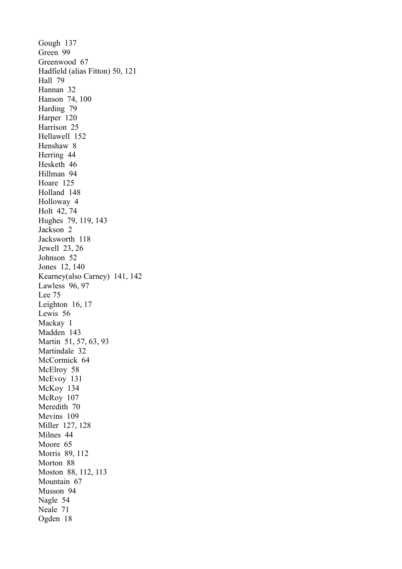Gough 137 Green 99 Greenwood 67 Hadfield (alias Fitton) 50, 121 Hall 79 Hannan 32 Hanson 74, 100 Harding 79 Harper 120 Harrison 25 Hellawell 152 Henshaw 8 Herring 44 Hesketh 46 Hillman 94 Hoare 125 Holland 148 Holloway 4 Holt 42, 74 Hughes 79, 119, 143 Jackson 2 Jacksworth 118 Jewell 23, 26 Johnson 52 Jones 12, 140 Kearney(also Carney) 141, 142 Lawless 96, 97 Lee 75 Leighton 16, 17 Lewis 56 Mackay 1 Madden 143 Martin 51, 57, 63, 93 Martindale 32 McCormick 64 McElroy 58 McEvoy 131 McKoy 134 McRoy 107 Meredith 70 Mevins 109 Miller 127, 128 Milnes 44 Moore 65 Morris 89, 112 Morton 88 Moston 88, 112, 113 Mountain 67 Musson 94 Nagle 54 Neale 71 Ogden 18